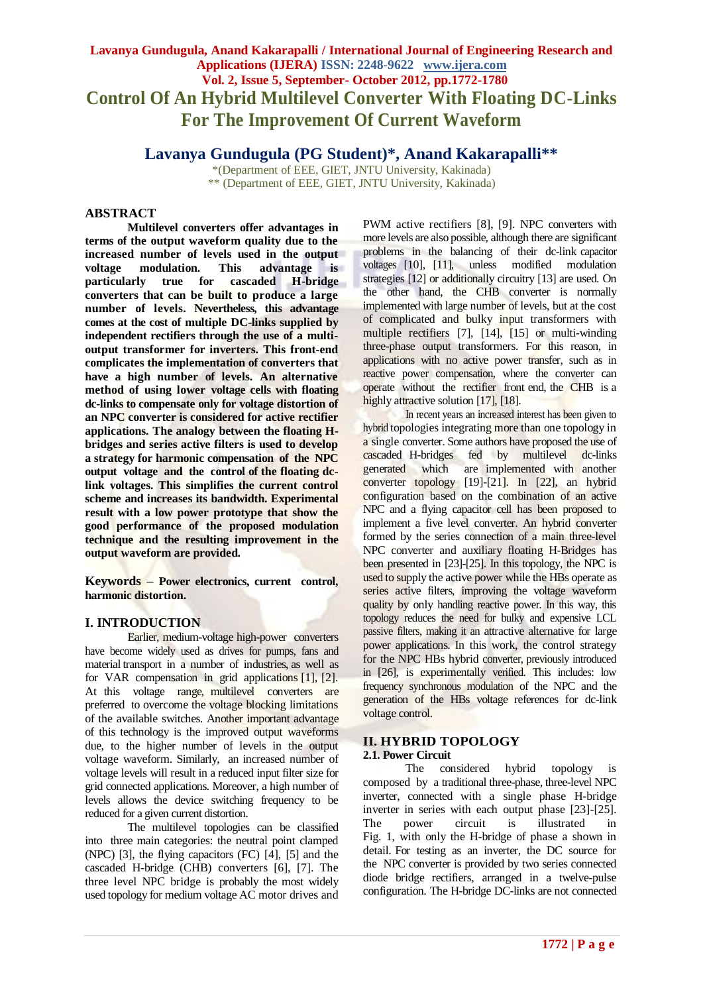# **Lavanya Gundugula, Anand Kakarapalli / International Journal of Engineering Research and Applications (IJERA) ISSN: 2248-9622 www.ijera.com Vol. 2, Issue 5, September- October 2012, pp.1772-1780 Control Of An Hybrid Multilevel Converter With Floating DC-Links For The Improvement Of Current Waveform**

# **Lavanya Gundugula (PG Student)\*, Anand Kakarapalli\*\***

\*(Department of EEE, GIET, JNTU University, Kakinada) \*\* (Department of EEE, GIET, JNTU University, Kakinada)

# **ABSTRACT**

**Multilevel converters offer advantages in terms of the output waveform quality due to the increased number of levels used in the output voltage modulation. This advantage is particularly true for cascaded H-bridge converters that can be built to produce a large number of levels. Nevertheless, this advantage comes at the cost of multiple DC-links supplied by independent rectifiers through the use of a multioutput transformer for inverters. This front-end complicates the implementation of converters that have a high number of levels. An alternative method of using lower voltage cells with floating dc-links to compensate only for voltage distortion of an NPC converter is considered for active rectifier applications. The analogy between the floating Hbridges and series active filters is used to develop a strategy for harmonic compensation of the NPC output voltage and the control of the floating dclink voltages. This simplifies the current control scheme and increases its bandwidth. Experimental result with a low power prototype that show the good performance of the proposed modulation technique and the resulting improvement in the output waveform are provided.**

**Keywords – Power electronics, current control, harmonic distortion.**

# **I. INTRODUCTION**

Earlier, medium-voltage high-power converters have become widely used as drives for pumps, fans and material transport in a number of industries, as well as for VAR compensation in grid applications [1], [2]. At this voltage range, multilevel converters are preferred to overcome the voltage blocking limitations of the available switches. Another important advantage of this technology is the improved output waveforms due, to the higher number of levels in the output voltage waveform. Similarly, an increased number of voltage levels will result in a reduced input filter size for grid connected applications. Moreover, a high number of levels allows the device switching frequency to be reduced for a given current distortion.

The multilevel topologies can be classified into three main categories: the neutral point clamped (NPC) [3], the flying capacitors (FC) [4], [5] and the cascaded H-bridge (CHB) converters [6], [7]. The three level NPC bridge is probably the most widely used topology for medium voltage AC motor drives and PWM active rectifiers [8], [9]. NPC converters with more levels are also possible, although there are significant problems in the balancing of their dc-link capacitor voltages [10], [11], unless modified modulation strategies [12] or additionally circuitry [13] are used. On the other hand, the CHB converter is normally implemented with large number of levels, but at the cost of complicated and bulky input transformers with multiple rectifiers [7], [14], [15] or multi-winding three-phase output transformers. For this reason, in applications with no active power transfer, such as in reactive power compensation, where the converter can operate without the rectifier front end, the CHB is a highly attractive solution [17], [18].

In recent years an increased interest has been given to hybrid topologies integrating more than one topology in a single converter. Some authors have proposed the use of cascaded H-bridges fed by multilevel dc-links generated which are implemented with another converter topology [19]-[21]. In [22], an hybrid configuration based on the combination of an active NPC and a flying capacitor cell has been proposed to implement a five level converter. An hybrid converter formed by the series connection of a main three-level NPC converter and auxiliary floating H-Bridges has been presented in [23]-[25]. In this topology, the NPC is used to supply the active power while the HBs operate as series active filters, improving the voltage waveform quality by only handling reactive power. In this way, this topology reduces the need for bulky and expensive LCL passive filters, making it an attractive alternative for large power applications. In this work, the control strategy for the NPC HBs hybrid converter, previously introduced in [26], is experimentally verified. This includes: low frequency synchronous modulation of the NPC and the generation of the HBs voltage references for dc-link voltage control.

#### **II. HYBRID TOPOLOGY 2.1. Power Circuit**

The considered hybrid topology is composed by a traditional three-phase, three-level NPC inverter, connected with a single phase H-bridge inverter in series with each output phase [23]-[25]. The power circuit is illustrated in Fig. 1, with only the H-bridge of phase a shown in detail. For testing as an inverter, the DC source for the NPC converter is provided by two series connected diode bridge rectifiers, arranged in a twelve-pulse configuration. The H-bridge DC-links are not connected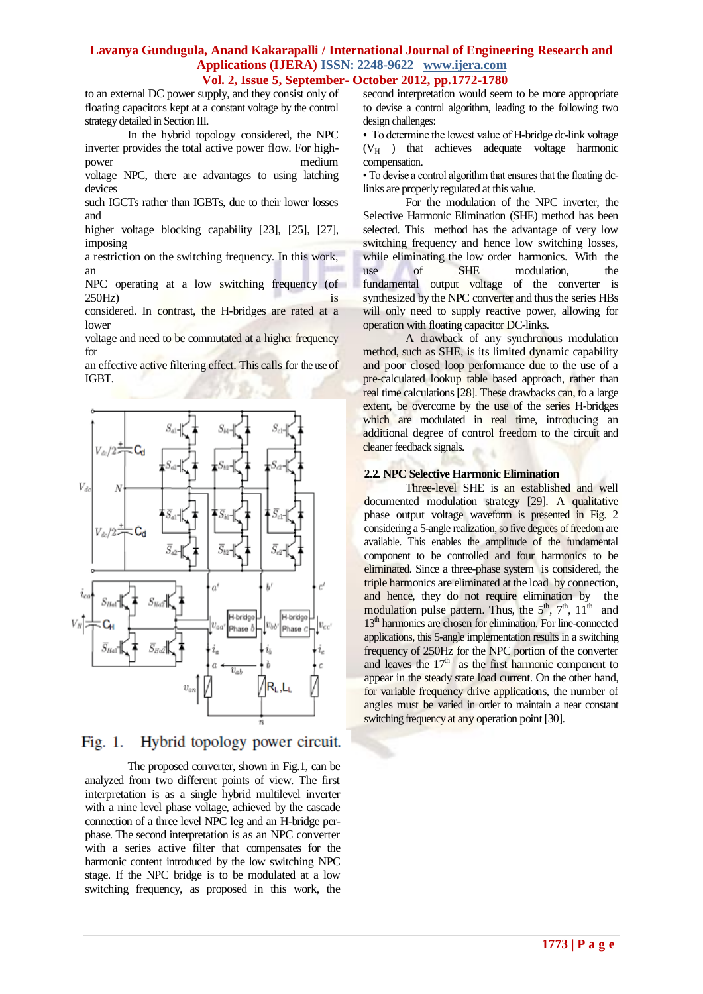to an external DC power supply, and they consist only of floating capacitors kept at a constant voltage by the control strategy detailed in Section III.

In the hybrid topology considered, the NPC inverter provides the total active power flow. For highpower medium

voltage NPC, there are advantages to using latching devices

such IGCTs rather than IGBTs, due to their lower losses and

higher voltage blocking capability [23], [25], [27], imposing

a restriction on the switching frequency. In this work, an

NPC operating at a low switching frequency (of 250Hz) is

considered. In contrast, the H-bridges are rated at a lower

voltage and need to be commutated at a higher frequency for

an effective active filtering effect. This calls for the use of IGBT.



#### $Fig. 1.$ Hybrid topology power circuit.

The proposed converter, shown in Fig.1, can be analyzed from two different points of view. The first interpretation is as a single hybrid multilevel inverter with a nine level phase voltage, achieved by the cascade connection of a three level NPC leg and an H-bridge perphase. The second interpretation is as an NPC converter with a series active filter that compensates for the harmonic content introduced by the low switching NPC stage. If the NPC bridge is to be modulated at a low switching frequency, as proposed in this work, the second interpretation would seem to be more appropriate to devise a control algorithm, leading to the following two design challenges:

• To determine the lowest value of H-bridge dc-link voltage  $(V_H)$  that achieves adequate voltage harmonic compensation.

• To devise a control algorithm that ensures that the floating dclinks are properly regulated at this value.

For the modulation of the NPC inverter, the Selective Harmonic Elimination (SHE) method has been selected. This method has the advantage of very low switching frequency and hence low switching losses, while eliminating the low order harmonics. With the use of SHE modulation, the fundamental output voltage of the converter is synthesized by the NPC converter and thus the series HBs will only need to supply reactive power, allowing for operation with floating capacitor DC-links.

A drawback of any synchronous modulation method, such as SHE, is its limited dynamic capability and poor closed loop performance due to the use of a pre-calculated lookup table based approach, rather than real time calculations [28]. These drawbacks can, to a large extent, be overcome by the use of the series H-bridges which are modulated in real time, introducing an additional degree of control freedom to the circuit and cleaner feedback signals.

#### **2.2. NPC Selective Harmonic Elimination**

Three-level SHE is an established and well documented modulation strategy [29]. A qualitative phase output voltage waveform is presented in Fig. 2 considering a 5-angle realization, so five degrees of freedom are available. This enables the amplitude of the fundamental component to be controlled and four harmonics to be eliminated. Since a three-phase system is considered, the triple harmonics are eliminated at the load by connection, and hence, they do not require elimination by the modulation pulse pattern. Thus, the  $5<sup>th</sup>$ ,  $7<sup>th</sup>$ ,  $11<sup>th</sup>$  and 13<sup>th</sup> harmonics are chosen for elimination. For line-connected applications, this 5-angle implementation results in a switching frequency of 250Hz for the NPC portion of the converter and leaves the  $17<sup>th</sup>$  as the first harmonic component to appear in the steady state load current. On the other hand, for variable frequency drive applications, the number of angles must be varied in order to maintain a near constant switching frequency at any operation point [30].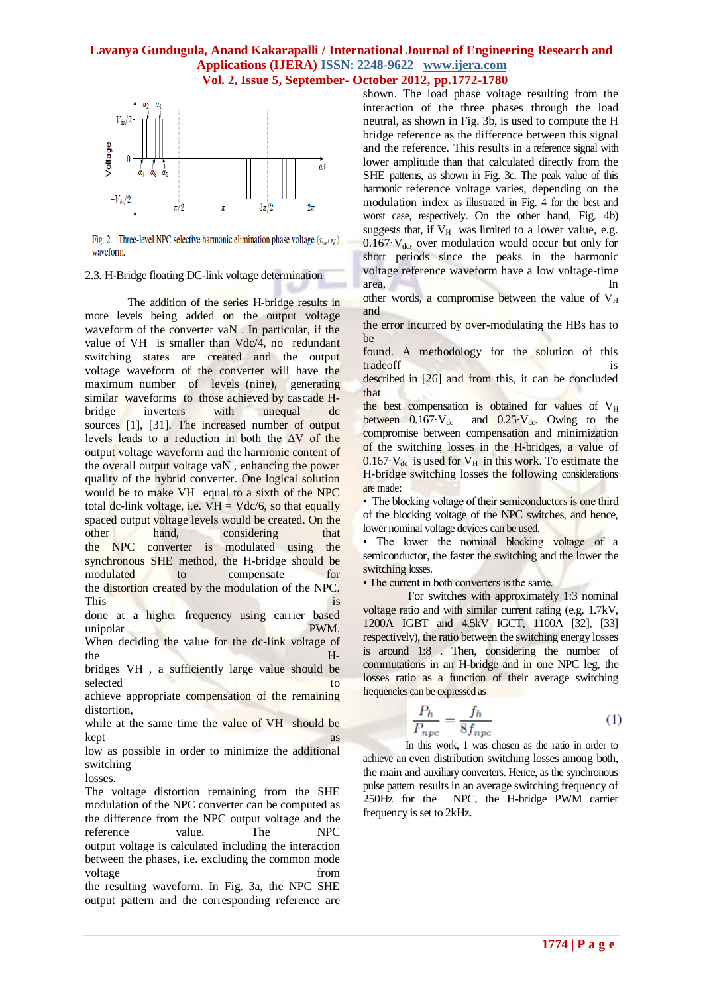

Fig. 2. Three-level NPC selective harmonic elimination phase voltage  $(v_{\alpha'N})$ waveform.

#### 2.3. H-Bridge floating DC-link voltage determination

The addition of the series H-bridge results in more levels being added on the output voltage waveform of the converter vaN . In particular, if the value of VH is smaller than Vdc/4, no redundant switching states are created and the output voltage waveform of the converter will have the maximum number of levels (nine), generating similar waveforms to those achieved by cascade Hbridge inverters with unequal dc sources [1], [31]. The increased number of output levels leads to a reduction in both the  $\Delta V$  of the output voltage waveform and the harmonic content of the overall output voltage vaN , enhancing the power quality of the hybrid converter. One logical solution would be to make VH equal to a sixth of the NPC total dc-link voltage, i.e.  $VH = Vdc/6$ , so that equally spaced output voltage levels would be created. On the other hand, considering that the NPC converter is modulated using the synchronous SHE method, the H-bridge should be modulated to compensate for the distortion created by the modulation of the NPC. This is a set of the set of the set of the set of the set of the set of the set of the set of the set of the set of the set of the set of the set of the set of the set of the set of the set of the set of the set of the set done at a higher frequency using carrier based unipolar PWM.

When deciding the value for the dc-link voltage of the H-

bridges VH , a sufficiently large value should be selected to to the selected to the selected to the selected to the selected to the selected to the selected to

achieve appropriate compensation of the remaining distortion,

while at the same time the value of VH should be kept as a set of the set of the set of the set of the set of the set of the set of the set of the set of the set of the set of the set of the set of the set of the set of the set of the set of the set of the set of the set

low as possible in order to minimize the additional switching

losses.

The voltage distortion remaining from the SHE modulation of the NPC converter can be computed as the difference from the NPC output voltage and the reference value. The NPC output voltage is calculated including the interaction between the phases, i.e. excluding the common mode voltage from  $\sim$ the resulting waveform. In Fig. 3a, the NPC SHE output pattern and the corresponding reference are shown. The load phase voltage resulting from the interaction of the three phases through the load neutral, as shown in Fig. 3b, is used to compute the H bridge reference as the difference between this signal and the reference. This results in a reference signal with lower amplitude than that calculated directly from the SHE patterns, as shown in Fig. 3c. The peak value of this harmonic reference voltage varies, depending on the modulation index as illustrated in Fig. 4 for the best and worst case, respectively. On the other hand, Fig. 4b) suggests that, if  $V_H$  was limited to a lower value, e.g.  $0.167\cdot V_{\text{dc}}$ , over modulation would occur but only for short periods since the peaks in the harmonic voltage reference waveform have a low voltage-time area. In

other words, a compromise between the value of  $V_H$ and

the error incurred by over-modulating the HBs has to be

found. A methodology for the solution of this tradeoff is

described in [26] and from this, it can be concluded that

the best compensation is obtained for values of  $V_H$ between  $0.167 \cdot V_{dc}$  and  $0.25 \cdot V_{dc}$ . Owing to the compromise between compensation and minimization of the switching losses in the H-bridges, a value of  $0.167\text{-}V_{\text{dc}}$  is used for  $V_{\text{H}}$  in this work. To estimate the H-bridge switching losses the following considerations are made:

• The blocking voltage of their semiconductors is one third of the blocking voltage of the NPC switches, and hence, lower nominal voltage devices can be used.

• The lower the nominal blocking voltage of a semiconductor, the faster the switching and the lower the switching losses.

• The current in both converters is the same.

For switches with approximately 1:3 nominal voltage ratio and with similar current rating (e.g. 1.7kV, 1200A IGBT and 4.5kV IGCT, 1100A [32], [33] respectively), the ratio between the switching energy losses is around 1:8 . Then, considering the number of commutations in an H-bridge and in one NPC leg, the losses ratio as a function of their average switching frequencies can be expressed as

$$
\frac{P_h}{P_{npc}} = \frac{f_h}{8f_{npc}}
$$
 (1)

In this work, 1 was chosen as the ratio in order to achieve an even distribution switching losses among both, the main and auxiliary converters. Hence, as the synchronous pulse pattern results in an average switching frequency of 250Hz for the NPC, the H-bridge PWM carrier frequency is set to 2kHz.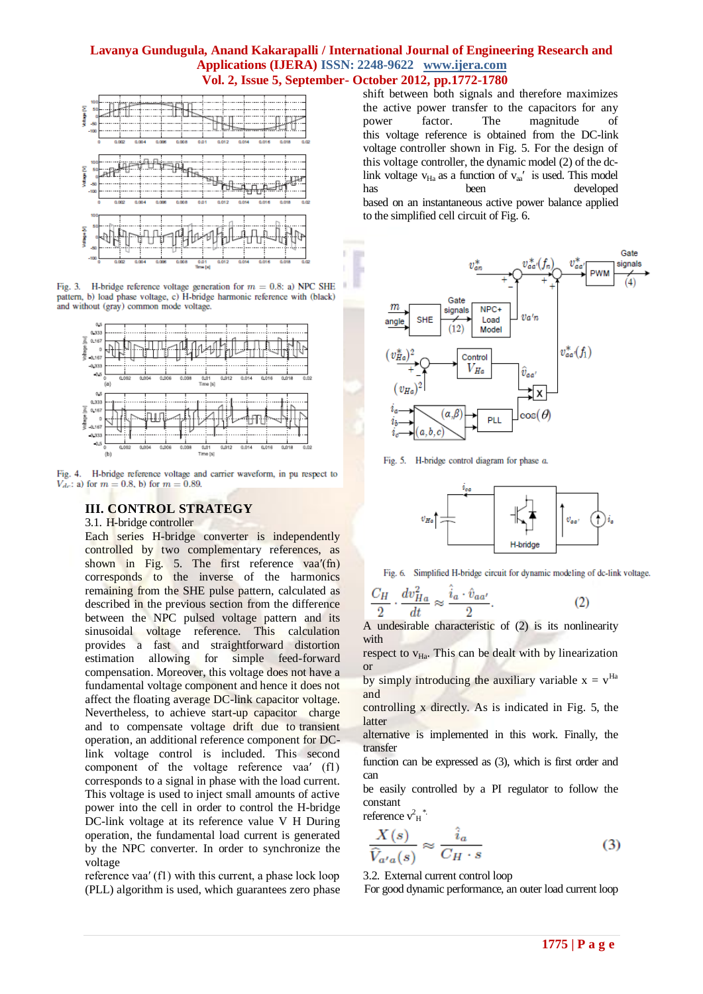

Fig. 3. H-bridge reference voltage generation for  $m = 0.8$ : a) NPC SHE pattern, b) load phase voltage, c) H-bridge harmonic reference with (black) and without (gray) common mode voltage.



Fig. 4. H-bridge reference voltage and carrier waveform, in pu respect to  $V_{dc}$ : a) for  $m = 0.8$ , b) for  $m = 0.89$ .

# **III. CONTROL STRATEGY**

3.1. H-bridge controller

Each series H-bridge converter is independently controlled by two complementary references, as shown in Fig. 5. The first reference vaa'(fn) corresponds to the inverse of the harmonics remaining from the SHE pulse pattern, calculated as described in the previous section from the difference between the NPC pulsed voltage pattern and its sinusoidal voltage reference. This calculation provides a fast and straightforward distortion estimation allowing for simple feed-forward compensation. Moreover, this voltage does not have a fundamental voltage component and hence it does not affect the floating average DC-link capacitor voltage. Nevertheless, to achieve start-up capacitor charge and to compensate voltage drift due to transient operation, an additional reference component for DClink voltage control is included. This second component of the voltage reference vaa′ (f1) corresponds to a signal in phase with the load current. This voltage is used to inject small amounts of active power into the cell in order to control the H-bridge DC-link voltage at its reference value V H During operation, the fundamental load current is generated by the NPC converter. In order to synchronize the voltage

reference vaa′ (f1) with this current, a phase lock loop (PLL) algorithm is used, which guarantees zero phase shift between both signals and therefore maximizes the active power transfer to the capacitors for any power factor. The magnitude of this voltage reference is obtained from the DC-link voltage controller shown in Fig. 5. For the design of this voltage controller, the dynamic model (2) of the dclink voltage  $v_{\text{Ha}}$  as a function of  $v_{\text{aa}}'$  is used. This model has been developed based on an instantaneous active power balance applied to the simplified cell circuit of Fig. 6.



Fig. 5. H-bridge control diagram for phase a.



Fig. 6. Simplified H-bridge circuit for dynamic modeling of dc-link voltage.

$$
\frac{C_H}{2} \cdot \frac{dv_{Ha}^2}{dt} \approx \frac{\hat{i}_a \cdot \hat{v}_{aa'}}{2}.
$$
 (2)

A undesirable characteristic of (2) is its nonlinearity with

respect to  $v_{H_a}$ . This can be dealt with by linearization or

by simply introducing the auxiliary variable  $x = v^{Ha}$ and

controlling x directly. As is indicated in Fig. 5, the latter

alternative is implemented in this work. Finally, the transfer

function can be expressed as (3), which is first order and can

be easily controlled by a PI regulator to follow the constant reference  $v_H^2$ <sup>\*</sup>.

$$
\frac{X(s)}{\widehat{V}_{a'a}(s)} \approx \frac{\widehat{i}_a}{C_H \cdot s} \tag{3}
$$

3.2. External current control loop

For good dynamic performance, an outer load current loop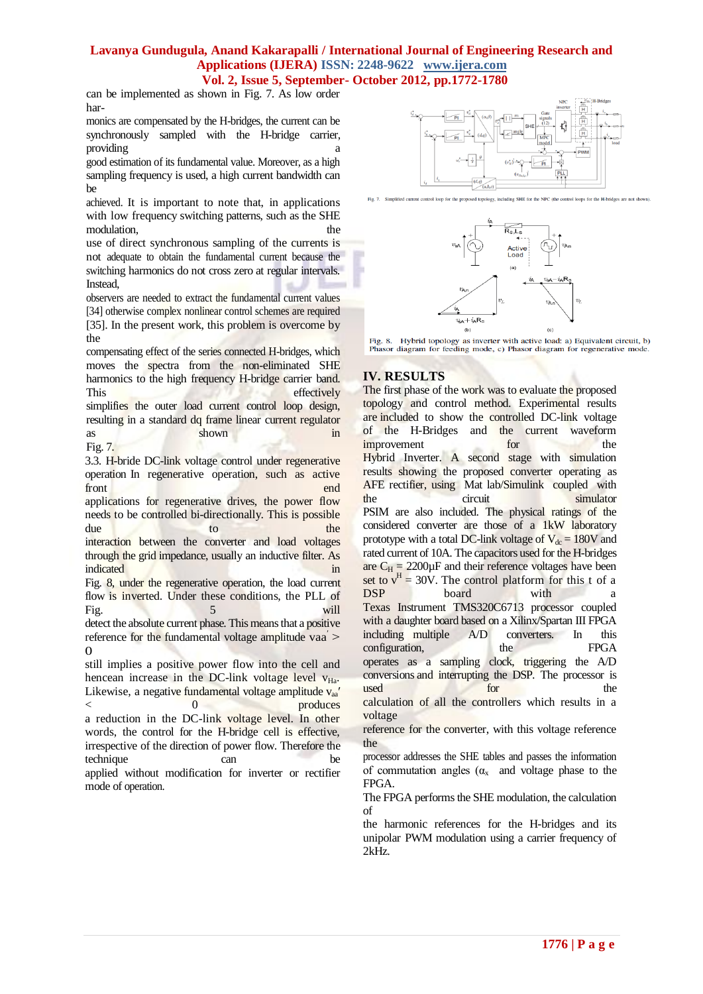can be implemented as shown in Fig. 7. As low order har-

monics are compensated by the H-bridges, the current can be synchronously sampled with the H-bridge carrier, providing a providing the set of  $\alpha$ 

good estimation of its fundamental value. Moreover, as a high sampling frequency is used, a high current bandwidth can be

achieved. It is important to note that, in applications with low frequency switching patterns, such as the SHE modulation, the the state of the state  $\mathbf{r}$  the state of the state of the state of the state of the state of the state of the state of the state of the state of the state of the state of the state of the state of the s

use of direct synchronous sampling of the currents is not adequate to obtain the fundamental current because the switching harmonics do not cross zero at regular intervals. Instead,

observers are needed to extract the fundamental current values [34] otherwise complex nonlinear control schemes are required [35]. In the present work, this problem is overcome by the

compensating effect of the series connected H-bridges, which moves the spectra from the non-eliminated SHE harmonics to the high frequency H-bridge carrier band. This effectively simplifies the outer load current control loop design, resulting in a standard dq frame linear current regulator as shown shown

Fig. 7. 3.3. H-bride DC-link voltage control under regenerative operation In regenerative operation, such as active front end end and the sense of the sense of the sense of the sense of the sense of the sense of the sense of the sense of the sense of the sense of the sense of the sense of the sense of the sense of the sense of the sense applications for regenerative drives, the power flow needs to be controlled bi-directionally. This is possible due to the interaction between the converter and load voltages through the grid impedance, usually an inductive filter. As indicated in the state of the state in the state of the state in the state in the state of the state in the state of the state in the state of the state of the state of the state of the state of the state of the state of t Fig. 8, under the regenerative operation, the load current flow is inverted. Under these conditions, the PLL of

Fig. 5 will detect the absolute current phase. This means that a positive reference for the fundamental voltage amplitude vaa $>$  $\Omega$ 

still implies a positive power flow into the cell and hencean increase in the DC-link voltage level  $v_{Ha}$ . Likewise, a negative fundamental voltage amplitude  $v_{aa}$  $<$  0 produces a reduction in the DC-link voltage level. In other words, the control for the H-bridge cell is effective, irrespective of the direction of power flow. Therefore the technique can be applied without modification for inverter or rectifier mode of operation.





Fig. 8. Hybrid topology as inverter with active load: a) Equivalent circuit, b) Phasor diagram for feeding mode, c) Phasor diagram for regenerative mode.

# **IV. RESULTS**

The first phase of the work was to evaluate the proposed topology and control method. Experimental results are included to show the controlled DC-link voltage of the H-Bridges and the current waveform improvement for the Hybrid Inverter. A second stage with simulation results showing the proposed converter operating as AFE rectifier, using Mat lab/Simulink coupled with the circuit simulator PSIM are also included. The physical ratings of the considered converter are those of a 1kW laboratory prototype with a total DC-link voltage of  $V_{dc} = 180V$  and rated current of 10A. The capacitors used for the H-bridges are  $C_H = 2200 \mu F$  and their reference voltages have been set to  $v^H = 30V$ . The control platform for this t of a DSP board with a Texas Instrument TMS320C6713 processor coupled with a daughter board based on a Xilinx/Spartan III FPGA including multiple A/D converters. In this configuration, the FPGA operates as a sampling clock, triggering the A/D conversions and interrupting the DSP. The processor is used for the calculation of all the controllers which results in a voltage

reference for the converter, with this voltage reference the

processor addresses the SHE tables and passes the information of commutation angles  $(\alpha_x)$  and voltage phase to the FPGA.

The FPGA performs the SHE modulation, the calculation of

the harmonic references for the H-bridges and its unipolar PWM modulation using a carrier frequency of 2kHz.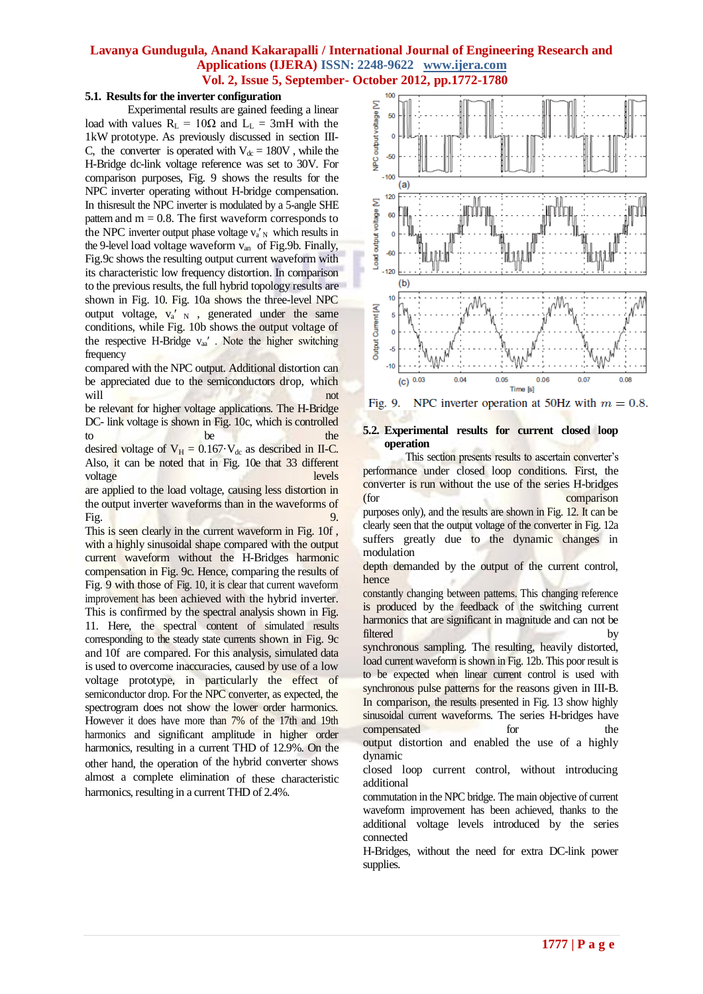## **5.1. Results for the inverter configuration**

Experimental results are gained feeding a linear load with values  $R_L = 10\Omega$  and  $L_L = 3mH$  with the 1kW prototype. As previously discussed in section III-C, the converter is operated with  $V_{dc} = 180V$ , while the H-Bridge dc-link voltage reference was set to 30V. For comparison purposes, Fig. 9 shows the results for the NPC inverter operating without H-bridge compensation. In thisresult the NPC inverter is modulated by a 5-angle SHE pattern and  $m = 0.8$ . The first waveform corresponds to the NPC inverter output phase voltage  $v_a$ <sup>'</sup><sub>N</sub> which results in the 9-level load voltage waveform v<sub>an</sub> of Fig.9b. Finally, Fig.9c shows the resulting output current waveform with its characteristic low frequency distortion. In comparison to the previous results, the full hybrid topology results are shown in Fig. 10. Fig. 10a shows the three-level NPC output voltage,  $v_a'_{N}$ , generated under the same conditions, while Fig. 10b shows the output voltage of the respective H-Bridge  $v_{aa}$ '. Note the higher switching frequency

compared with the NPC output. Additional distortion can be appreciated due to the semiconductors drop, which will not not

be relevant for higher voltage applications. The H-Bridge DC- link voltage is shown in Fig. 10c, which is controlled to be the the

desired voltage of  $V_H = 0.167 \cdot V_{dc}$  as described in II-C. Also, it can be noted that in Fig. 10e that 33 different voltage levels levels

are applied to the load voltage, causing less distortion in the output inverter waveforms than in the waveforms of Fig. **9.** The contract of the contract of the contract of the contract of the contract of the contract of the contract of the contract of the contract of the contract of the contract of the contract of the contract of the

This is seen clearly in the current waveform in Fig. 10f , with a highly sinusoidal shape compared with the output current waveform without the H-Bridges harmonic compensation in Fig. 9c. Hence, comparing the results of Fig. 9 with those of Fig. 10, it is clear that current waveform improvement has been achieved with the hybrid inverter. This is confirmed by the spectral analysis shown in Fig. 11. Here, the spectral content of simulated results corresponding to the steady state currents shown in Fig. 9c and 10f are compared. For this analysis, simulated data is used to overcome inaccuracies, caused by use of a low voltage prototype, in particularly the effect of semiconductor drop. For the NPC converter, as expected, the spectrogram does not show the lower order harmonics. However it does have more than 7% of the 17th and 19th harmonics and significant amplitude in higher order harmonics, resulting in a current THD of 12.9%. On the other hand, the operation of the hybrid converter shows almost a complete elimination of these characteristic harmonics, resulting in a current THD of 2.4%.



NPC inverter operation at 50Hz with  $m = 0.8$ . Fig. 9.

#### **5.2. Experimental results for current closed loop operation**

This section presents results to ascertain converter's performance under closed loop conditions. First, the converter is run without the use of the series H-bridges (for comparison purposes only), and the results are shown in Fig. 12. It can be clearly seen that the output voltage of the converter in Fig. 12a suffers greatly due to the dynamic changes in modulation

depth demanded by the output of the current control, hence

constantly changing between patterns. This changing reference is produced by the feedback of the switching current harmonics that are significant in magnitude and can not be filtered by by

synchronous sampling. The resulting, heavily distorted, load current waveform is shown in Fig. 12b. This poor result is to be expected when linear current control is used with synchronous pulse patterns for the reasons given in III-B. In comparison, the results presented in Fig. 13 show highly sinusoidal current waveforms. The series H-bridges have compensated for the output distortion and enabled the use of a highly dynamic

closed loop current control, without introducing additional

commutation in the NPC bridge. The main objective of current waveform improvement has been achieved, thanks to the additional voltage levels introduced by the series connected

H-Bridges, without the need for extra DC-link power supplies.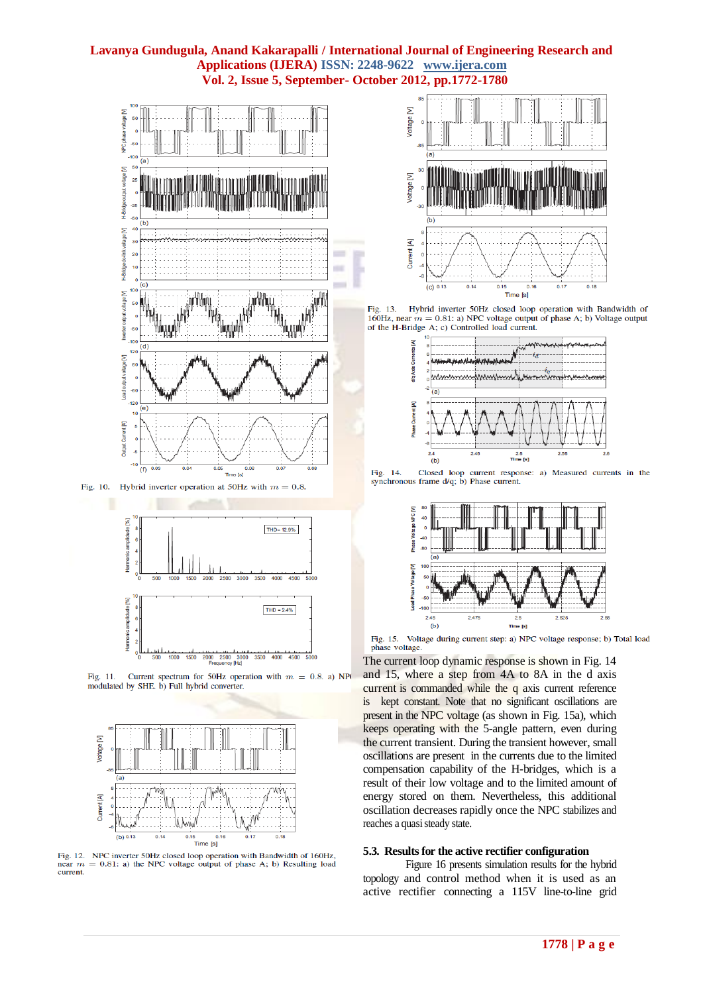

Fig. 10. Hybrid inverter operation at 50Hz with  $m = 0.8$ 



Current spectrum for 50Hz operation with  $m = 0.8$ . a) NPO Fig. 11. modulated by SHE. b) Full hybrid converter.



NPC inverter 50Hz closed loop operation with Bandwidth of 160Hz, Fig. 12.  $near$ = 0.81: a) the NPC voltage output of phase A; b) Resulting load current.



Fig. 13. Hybrid inverter 50Hz closed loop operation with Bandwidth of 160Hz, near  $m = 0.81$ : a) NPC voltage output of phase A; b) Voltage output of the H-Bridge A; c) Controlled load current.



Fig. 14. Closed loop current response: a) Measured currents in the synchronous frame  $d/q$ ; b) Phase current.



Fig. 15. Voltage during current step: a) NPC voltage response; b) Total load phase voltage

The current loop dynamic response is shown in Fig. 14 and 15, where a step from 4A to 8A in the d axis current is commanded while the q axis current reference is kept constant. Note that no significant oscillations are present in the NPC voltage (as shown in Fig. 15a), which keeps operating with the 5-angle pattern, even during the current transient. During the transient however, small oscillations are present in the currents due to the limited compensation capability of the H-bridges, which is a result of their low voltage and to the limited amount of energy stored on them. Nevertheless, this additional oscillation decreases rapidly once the NPC stabilizes and reaches a quasi steady state.

#### **5.3. Results for the active rectifier configuration**

Figure 16 presents simulation results for the hybrid topology and control method when it is used as an active rectifier connecting a 115V line-to-line grid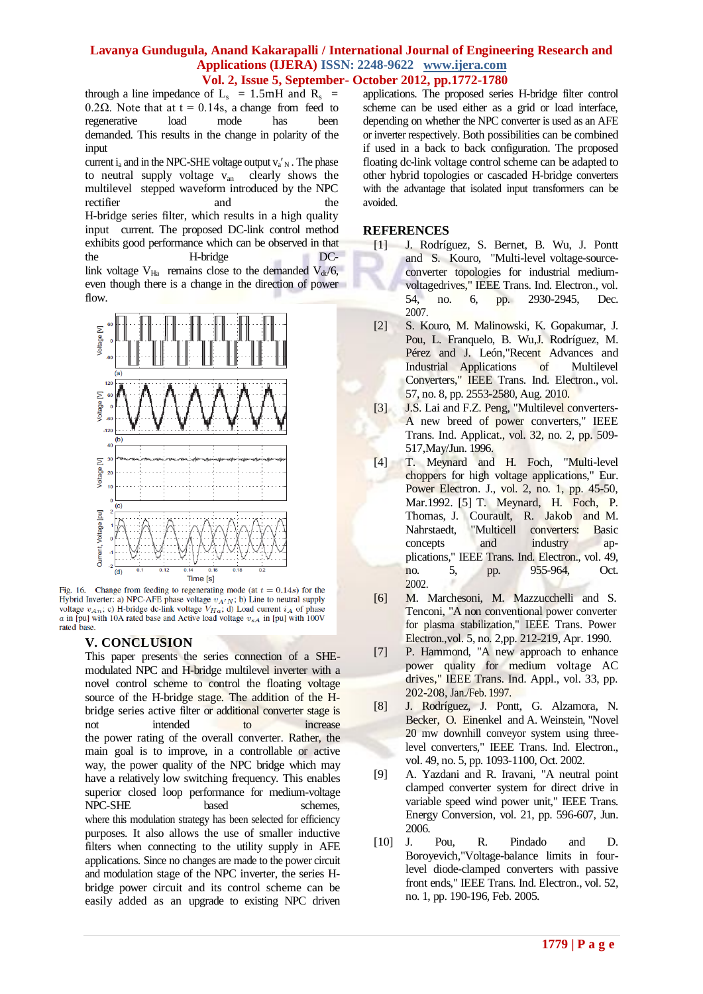through a line impedance of  $L_s = 1.5 \text{mH}$  and  $R_s =$ 0.2 $\Omega$ . Note that at t = 0.14s, a change from feed to regenerative load mode has been demanded. This results in the change in polarity of the input

current  $i_a$  and in the NPC-SHE voltage output  $v_a'$ <sub>N</sub>. The phase to neutral supply voltage  $v_{an}$  clearly shows the multilevel stepped waveform introduced by the NPC rectifier and the H-bridge series filter, which results in a high quality input current. The proposed DC-link control method exhibits good performance which can be observed in that the H-bridge DClink voltage  $V_{Ha}$  remains close to the demanded  $V_{dc}/6$ , even though there is a change in the direction of power flow.



Fig. 16. Change from feeding to regenerating mode (at  $t = 0.14s$ ) for the Hybrid Inverter: a) NPC-AFE phase voltage  $v_{A'N}$ ; b) Line to neutral supply voltage  $v_{An}$ ; c) H-bridge dc-link voltage  $V_{Ha}$ ; d) Load current  $i_A$  of phase  $a$  in [pu] with 10A rated base and Active load voltage  $v_{sA}$  in [pu] with 100V rated base

#### **V. CONCLUSION**

This paper presents the series connection of a SHEmodulated NPC and H-bridge multilevel inverter with a novel control scheme to control the floating voltage source of the H-bridge stage. The addition of the Hbridge series active filter or additional converter stage is not intended to increase the power rating of the overall converter. Rather, the main goal is to improve, in a controllable or active way, the power quality of the NPC bridge which may have a relatively low switching frequency. This enables superior closed loop performance for medium-voltage NPC-SHE based schemes, where this modulation strategy has been selected for efficiency purposes. It also allows the use of smaller inductive filters when connecting to the utility supply in AFE applications. Since no changes are made to the power circuit and modulation stage of the NPC inverter, the series Hbridge power circuit and its control scheme can be easily added as an upgrade to existing NPC driven

applications. The proposed series H-bridge filter control scheme can be used either as a grid or load interface, depending on whether the NPC converter is used as an AFE or inverter respectively. Both possibilities can be combined if used in a back to back configuration. The proposed floating dc-link voltage control scheme can be adapted to other hybrid topologies or cascaded H-bridge converters with the advantage that isolated input transformers can be avoided.

#### **REFERENCES**

- [1] J. Rodríguez, S. Bernet, B. Wu, J. Pontt and S. Kouro, "Multi-level voltage-sourceconverter topologies for industrial mediumvoltagedrives," IEEE Trans. Ind. Electron., vol. 54, no. 6, pp. 2930-2945, Dec. 2007.
- [2] S. Kouro, M. Malinowski, K. Gopakumar, J. Pou, L. Franquelo, B. Wu,J. Rodríguez, M. Pérez and J. León,"Recent Advances and Industrial Applications of Multilevel Converters," IEEE Trans. Ind. Electron., vol. 57, no. 8, pp. 2553-2580, Aug. 2010.
- [3] J.S. Lai and F.Z. Peng, "Multilevel converters-A new breed of power converters," IEEE Trans. Ind. Applicat., vol. 32, no. 2, pp. 509- 517,May/Jun. 1996.
- [4] T. Meynard and H. Foch, "Multi-level choppers for high voltage applications," Eur. Power Electron. J., vol. 2, no. 1, pp. 45-50, Mar.1992. [5] T. Meynard, H. Foch, P. Thomas, J. Courault, R. Jakob and M. Nahrstaedt, "Multicell converters: Basic concepts and industry applications," IEEE Trans. Ind. Electron., vol. 49, no. 5, pp. 955-964, Oct. 2002.
- [6] M. Marchesoni, M. Mazzucchelli and S. Tenconi, "A non conventional power converter for plasma stabilization," IEEE Trans. Power Electron.,vol. 5, no. 2,pp. 212-219, Apr. 1990.
- [7] P. Hammond, "A new approach to enhance power quality for medium voltage AC drives," IEEE Trans. Ind. Appl., vol. 33, pp. 202-208, Jan./Feb. 1997.
- [8] J. Rodríguez, J. Pontt, G. Alzamora, N. Becker, O. Einenkel and A. Weinstein, "Novel 20 mw downhill conveyor system using threelevel converters," IEEE Trans. Ind. Electron., vol. 49, no. 5, pp. 1093-1100, Oct. 2002.
- [9] A. Yazdani and R. Iravani, "A neutral point clamped converter system for direct drive in variable speed wind power unit," IEEE Trans. Energy Conversion, vol. 21, pp. 596-607, Jun. 2006.
- [10] J. Pou, R. Pindado and D. Boroyevich,"Voltage-balance limits in fourlevel diode-clamped converters with passive front ends," IEEE Trans. Ind. Electron., vol. 52, no. 1, pp. 190-196, Feb. 2005.